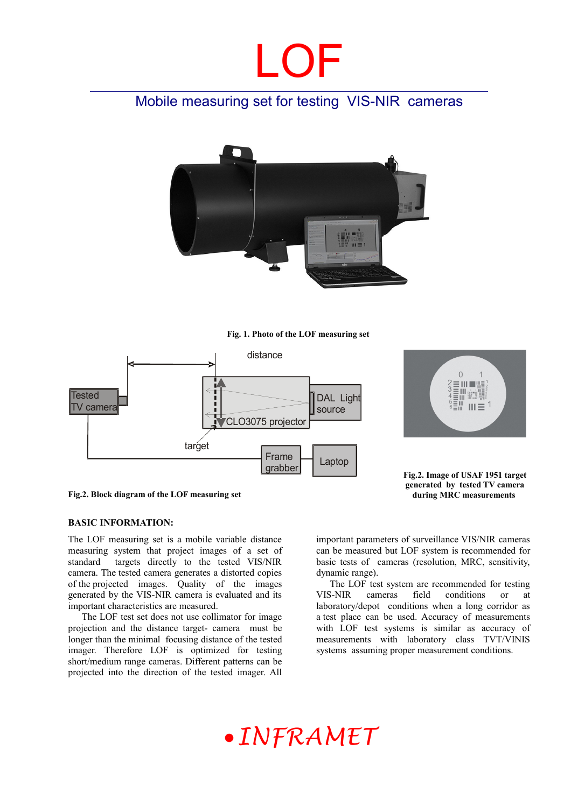# LOF

## Mobile measuring set for testing VIS-NIR cameras



**Fig. 1. Photo of the LOF measuring set** 



 $\Omega$ E III WWW  $\equiv$ III T  $III \equiv 1$ 

**Fig.2. Image of USAF 1951 target generated by tested TV camera during MRC measurements** 

**Fig.2. Block diagram of the LOF measuring set**

#### **BASIC INFORMATION:**

The LOF measuring set is a mobile variable distance measuring system that project images of a set of standard targets directly to the tested VIS/NIR camera. The tested camera generates a distorted copies of the projected images. Quality of the images generated by the VIS-NIR camera is evaluated and its important characteristics are measured.

The LOF test set does not use collimator for image projection and the distance target- camera must be longer than the minimal focusing distance of the tested imager. Therefore LOF is optimized for testing short/medium range cameras. Different patterns can be projected into the direction of the tested imager. All

important parameters of surveillance VIS/NIR cameras can be measured but LOF system is recommended for basic tests of cameras (resolution, MRC, sensitivity, dynamic range).

The LOF test system are recommended for testing VIS-NIR cameras field conditions or at laboratory/depot conditions when a long corridor as a test place can be used. Accuracy of measurements with LOF test systems is similar as accuracy of measurements with laboratory class TVT/VINIS systems assuming proper measurement conditions.

# *INFRAMET*